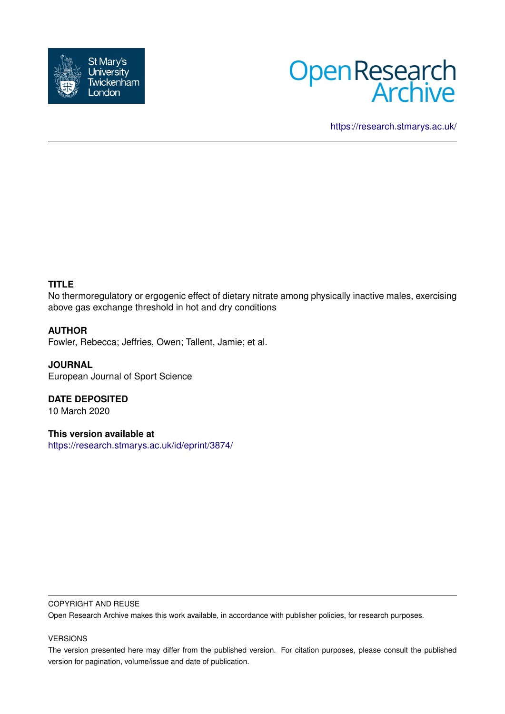



<https://research.stmarys.ac.uk/>

# **TITLE**

No thermoregulatory or ergogenic effect of dietary nitrate among physically inactive males, exercising above gas exchange threshold in hot and dry conditions

## **AUTHOR**

Fowler, Rebecca; Jeffries, Owen; Tallent, Jamie; et al.

**JOURNAL** European Journal of Sport Science

**DATE DEPOSITED** 10 March 2020

**This version available at** <https://research.stmarys.ac.uk/id/eprint/3874/>

#### COPYRIGHT AND REUSE

Open Research Archive makes this work available, in accordance with publisher policies, for research purposes.

#### VERSIONS

The version presented here may differ from the published version. For citation purposes, please consult the published version for pagination, volume/issue and date of publication.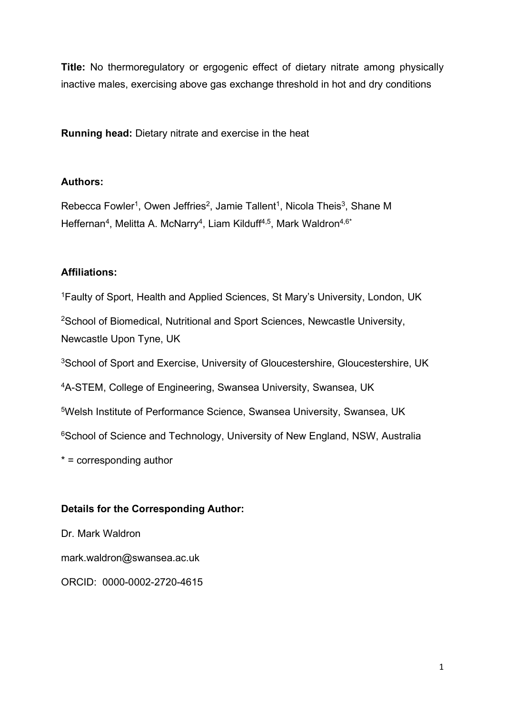**Title:** No thermoregulatory or ergogenic effect of dietary nitrate among physically inactive males, exercising above gas exchange threshold in hot and dry conditions

**Running head:** Dietary nitrate and exercise in the heat

# **Authors:**

Rebecca Fowler<sup>1</sup>, Owen Jeffries<sup>2</sup>, Jamie Tallent<sup>1</sup>, Nicola Theis<sup>3</sup>, Shane M Heffernan<sup>4</sup>, Melitta A. McNarry<sup>4</sup>, Liam Kilduff<sup>4,5</sup>, Mark Waldron<sup>4,6\*</sup>

# **Affiliations:**

1Faulty of Sport, Health and Applied Sciences, St Mary's University, London, UK <sup>2</sup>School of Biomedical, Nutritional and Sport Sciences, Newcastle University, Newcastle Upon Tyne, UK 3School of Sport and Exercise, University of Gloucestershire, Gloucestershire, UK 4A-STEM, College of Engineering, Swansea University, Swansea, UK 5Welsh Institute of Performance Science, Swansea University, Swansea, UK <sup>6</sup>School of Science and Technology, University of New England, NSW, Australia \* = corresponding author

# **Details for the Corresponding Author:**

Dr. Mark Waldron mark.waldron@swansea.ac.uk ORCID: 0000-0002-2720-4615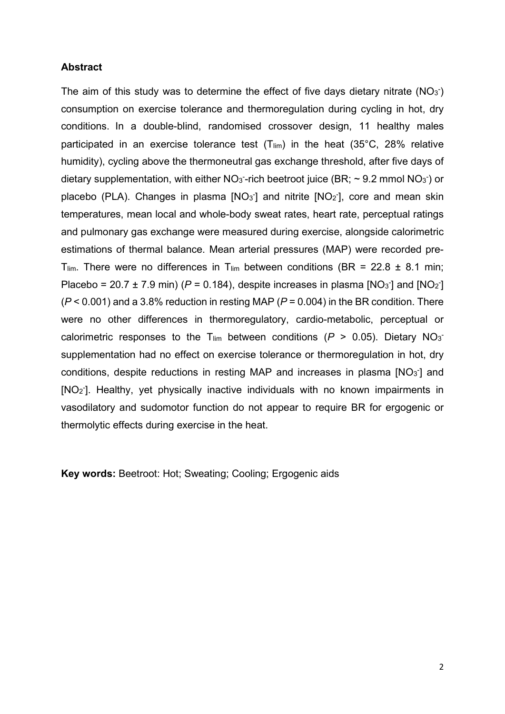## **Abstract**

The aim of this study was to determine the effect of five days dietary nitrate  $(NO<sub>3</sub>)$ consumption on exercise tolerance and thermoregulation during cycling in hot, dry conditions. In a double-blind, randomised crossover design, 11 healthy males participated in an exercise tolerance test  $(T_{lim})$  in the heat  $(35^{\circ}C, 28^{\circ})$  relative humidity), cycling above the thermoneutral gas exchange threshold, after five days of dietary supplementation, with either  $NO<sub>3</sub>$ -rich beetroot juice (BR;  $\sim$  9.2 mmol NO<sub>3</sub><sup>-</sup>) or placebo (PLA). Changes in plasma [NO<sub>3</sub><sup>-</sup>] and nitrite [NO<sub>2</sub><sup>-</sup>], core and mean skin temperatures, mean local and whole-body sweat rates, heart rate, perceptual ratings and pulmonary gas exchange were measured during exercise, alongside calorimetric estimations of thermal balance. Mean arterial pressures (MAP) were recorded pre-T<sub>lim</sub>. There were no differences in T<sub>lim</sub> between conditions (BR = 22.8  $\pm$  8.1 min; Placebo = 20.7  $\pm$  7.9 min) ( $P = 0.184$ ), despite increases in plasma [NO<sub>3</sub><sup>-</sup>] and [NO<sub>2</sub><sup>-</sup>] (*P* < 0.001) and a 3.8% reduction in resting MAP (*P* = 0.004) in the BR condition. There were no other differences in thermoregulatory, cardio-metabolic, perceptual or calorimetric responses to the T<sub>lim</sub> between conditions ( $P > 0.05$ ). Dietary NO<sub>3</sub> supplementation had no effect on exercise tolerance or thermoregulation in hot, dry conditions, despite reductions in resting MAP and increases in plasma  $[NO<sub>3</sub>]$  and [NO<sub>2</sub>]. Healthy, yet physically inactive individuals with no known impairments in vasodilatory and sudomotor function do not appear to require BR for ergogenic or thermolytic effects during exercise in the heat.

**Key words:** Beetroot: Hot; Sweating; Cooling; Ergogenic aids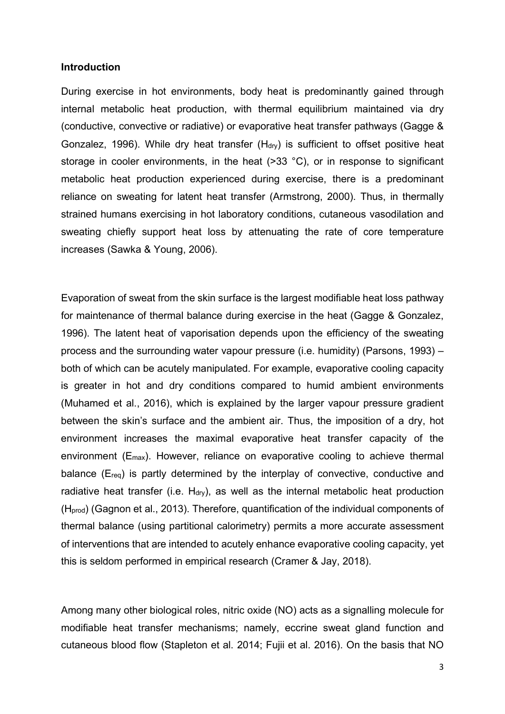#### **Introduction**

During exercise in hot environments, body heat is predominantly gained through internal metabolic heat production, with thermal equilibrium maintained via dry (conductive, convective or radiative) or evaporative heat transfer pathways (Gagge & Gonzalez, 1996). While dry heat transfer  $(H<sub>div</sub>)$  is sufficient to offset positive heat storage in cooler environments, in the heat (>33 °C), or in response to significant metabolic heat production experienced during exercise, there is a predominant reliance on sweating for latent heat transfer (Armstrong, 2000). Thus, in thermally strained humans exercising in hot laboratory conditions, cutaneous vasodilation and sweating chiefly support heat loss by attenuating the rate of core temperature increases (Sawka & Young, 2006).

Evaporation of sweat from the skin surface is the largest modifiable heat loss pathway for maintenance of thermal balance during exercise in the heat (Gagge & Gonzalez, 1996). The latent heat of vaporisation depends upon the efficiency of the sweating process and the surrounding water vapour pressure (i.e. humidity) (Parsons, 1993) – both of which can be acutely manipulated. For example, evaporative cooling capacity is greater in hot and dry conditions compared to humid ambient environments (Muhamed et al., 2016), which is explained by the larger vapour pressure gradient between the skin's surface and the ambient air. Thus, the imposition of a dry, hot environment increases the maximal evaporative heat transfer capacity of the environment  $(E<sub>max</sub>)$ . However, reliance on evaporative cooling to achieve thermal balance (E<sub>req</sub>) is partly determined by the interplay of convective, conductive and radiative heat transfer (i.e.  $H_{\text{dry}}$ ), as well as the internal metabolic heat production (Hprod) (Gagnon et al., 2013). Therefore, quantification of the individual components of thermal balance (using partitional calorimetry) permits a more accurate assessment of interventions that are intended to acutely enhance evaporative cooling capacity, yet this is seldom performed in empirical research (Cramer & Jay, 2018).

Among many other biological roles, nitric oxide (NO) acts as a signalling molecule for modifiable heat transfer mechanisms; namely, eccrine sweat gland function and cutaneous blood flow (Stapleton et al. 2014; Fujii et al. 2016). On the basis that NO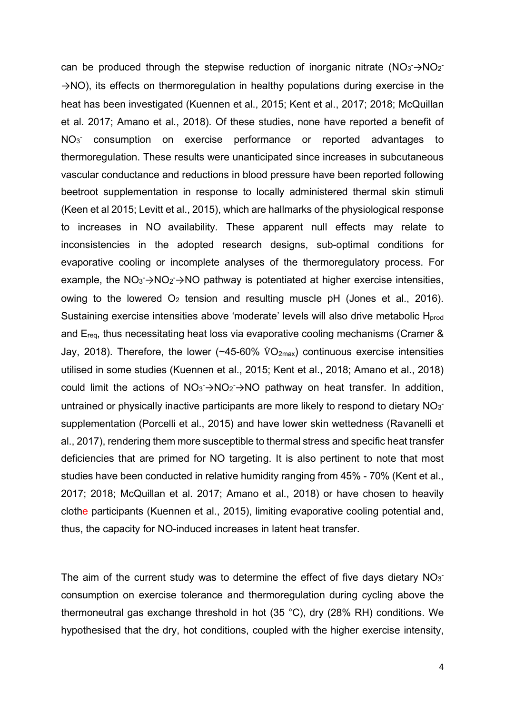can be produced through the stepwise reduction of inorganic nitrate  $(NO_3 \rightarrow NO_2)$ →NO), its effects on thermoregulation in healthy populations during exercise in the heat has been investigated (Kuennen et al., 2015; Kent et al., 2017; 2018; McQuillan et al. 2017; Amano et al., 2018). Of these studies, none have reported a benefit of NO<sub>3</sub> consumption on exercise performance or reported advantages to thermoregulation. These results were unanticipated since increases in subcutaneous vascular conductance and reductions in blood pressure have been reported following beetroot supplementation in response to locally administered thermal skin stimuli (Keen et al 2015; Levitt et al., 2015), which are hallmarks of the physiological response to increases in NO availability. These apparent null effects may relate to inconsistencies in the adopted research designs, sub-optimal conditions for evaporative cooling or incomplete analyses of the thermoregulatory process. For example, the  $NO<sub>3</sub> \rightarrow NO<sub>2</sub> \rightarrow NO$  pathway is potentiated at higher exercise intensities, owing to the lowered  $O_2$  tension and resulting muscle pH (Jones et al., 2016). Sustaining exercise intensities above 'moderate' levels will also drive metabolic H<sub>prod</sub> and Ereq, thus necessitating heat loss via evaporative cooling mechanisms (Cramer & Jay, 2018). Therefore, the lower (~45-60%  $\rm \dot{V}O_{2max}$ ) continuous exercise intensities utilised in some studies (Kuennen et al., 2015; Kent et al., 2018; Amano et al., 2018) could limit the actions of  $NO_3 \rightarrow NO_2 \rightarrow NO$  pathway on heat transfer. In addition, untrained or physically inactive participants are more likely to respond to dietary  $NO<sub>3</sub>$ supplementation (Porcelli et al., 2015) and have lower skin wettedness (Ravanelli et al., 2017), rendering them more susceptible to thermal stress and specific heat transfer deficiencies that are primed for NO targeting. It is also pertinent to note that most studies have been conducted in relative humidity ranging from 45% - 70% (Kent et al., 2017; 2018; McQuillan et al. 2017; Amano et al., 2018) or have chosen to heavily clothe participants (Kuennen et al., 2015), limiting evaporative cooling potential and, thus, the capacity for NO-induced increases in latent heat transfer.

The aim of the current study was to determine the effect of five days dietary  $NO<sub>3</sub>$ consumption on exercise tolerance and thermoregulation during cycling above the thermoneutral gas exchange threshold in hot (35 °C), dry (28% RH) conditions. We hypothesised that the dry, hot conditions, coupled with the higher exercise intensity,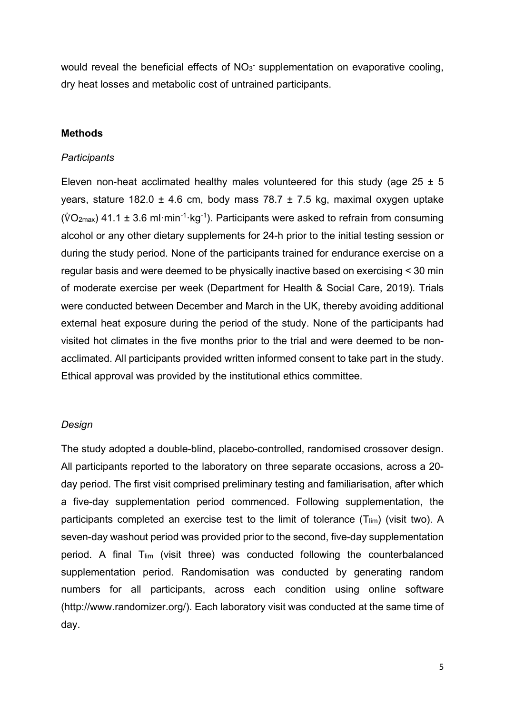would reveal the beneficial effects of  $NO<sub>3</sub>$  supplementation on evaporative cooling, dry heat losses and metabolic cost of untrained participants.

### **Methods**

#### *Participants*

Eleven non-heat acclimated healthy males volunteered for this study (age  $25 \pm 5$ years, stature 182.0  $\pm$  4.6 cm, body mass 78.7  $\pm$  7.5 kg, maximal oxygen uptake (VO<sub>2max</sub>) 41.1  $\pm$  3.6 ml·min<sup>-1</sup>·kg<sup>-1</sup>). Participants were asked to refrain from consuming alcohol or any other dietary supplements for 24-h prior to the initial testing session or during the study period. None of the participants trained for endurance exercise on a regular basis and were deemed to be physically inactive based on exercising < 30 min of moderate exercise per week (Department for Health & Social Care, 2019). Trials were conducted between December and March in the UK, thereby avoiding additional external heat exposure during the period of the study. None of the participants had visited hot climates in the five months prior to the trial and were deemed to be nonacclimated. All participants provided written informed consent to take part in the study. Ethical approval was provided by the institutional ethics committee.

### *Design*

The study adopted a double-blind, placebo-controlled, randomised crossover design. All participants reported to the laboratory on three separate occasions, across a 20 day period. The first visit comprised preliminary testing and familiarisation, after which a five-day supplementation period commenced. Following supplementation, the participants completed an exercise test to the limit of tolerance  $(T_{lim})$  (visit two). A seven-day washout period was provided prior to the second, five-day supplementation period. A final  $T_{lim}$  (visit three) was conducted following the counterbalanced supplementation period. Randomisation was conducted by generating random numbers for all participants, across each condition using online software (http://www.randomizer.org/). Each laboratory visit was conducted at the same time of day.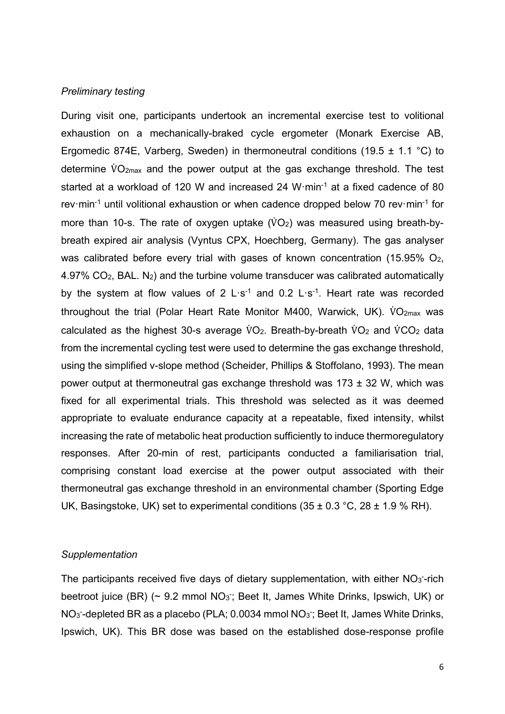#### *Preliminary testing*

During visit one, participants undertook an incremental exercise test to volitional exhaustion on a mechanically-braked cycle ergometer (Monark Exercise AB, Ergomedic 874E, Varberg, Sweden) in thermoneutral conditions (19.5  $\pm$  1.1 °C) to determine V̇ O2max and the power output at the gas exchange threshold. The test started at a workload of 120 W and increased 24 W·min<sup>-1</sup> at a fixed cadence of 80 rev·min<sup>-1</sup> until volitional exhaustion or when cadence dropped below 70 rev·min<sup>-1</sup> for more than 10-s. The rate of oxygen uptake  $(\mathrm{VO}_2)$  was measured using breath-bybreath expired air analysis (Vyntus CPX, Hoechberg, Germany). The gas analyser was calibrated before every trial with gases of known concentration (15.95%  $O_2$ , 4.97%  $CO<sub>2</sub>$ , BAL. N<sub>2</sub>) and the turbine volume transducer was calibrated automatically by the system at flow values of 2  $L \cdot s^{-1}$  and 0.2  $L \cdot s^{-1}$ . Heart rate was recorded throughout the trial (Polar Heart Rate Monitor M400, Warwick, UK). VO<sub>2max</sub> was calculated as the highest 30-s average  $\text{VO}_2$ . Breath-by-breath  $\text{VO}_2$  and  $\text{VCO}_2$  data from the incremental cycling test were used to determine the gas exchange threshold, using the simplified v-slope method (Scheider, Phillips & Stoffolano, 1993). The mean power output at thermoneutral gas exchange threshold was 173 ± 32 W, which was fixed for all experimental trials. This threshold was selected as it was deemed appropriate to evaluate endurance capacity at a repeatable, fixed intensity, whilst increasing the rate of metabolic heat production sufficiently to induce thermoregulatory responses. After 20-min of rest, participants conducted a familiarisation trial, comprising constant load exercise at the power output associated with their thermoneutral gas exchange threshold in an environmental chamber (Sporting Edge UK, Basingstoke, UK) set to experimental conditions  $(35 \pm 0.3 \degree C, 28 \pm 1.9 \degree \degree RH)$ .

## *Supplementation*

The participants received five days of dietary supplementation, with either  $NO<sub>3</sub>$ -rich beetroot juice (BR) (~ 9.2 mmol NO<sub>3</sub>; Beet It, James White Drinks, Ipswich, UK) or NO<sub>3</sub>-depleted BR as a placebo (PLA; 0.0034 mmol NO<sub>3</sub>; Beet It, James White Drinks, Ipswich, UK). This BR dose was based on the established dose-response profile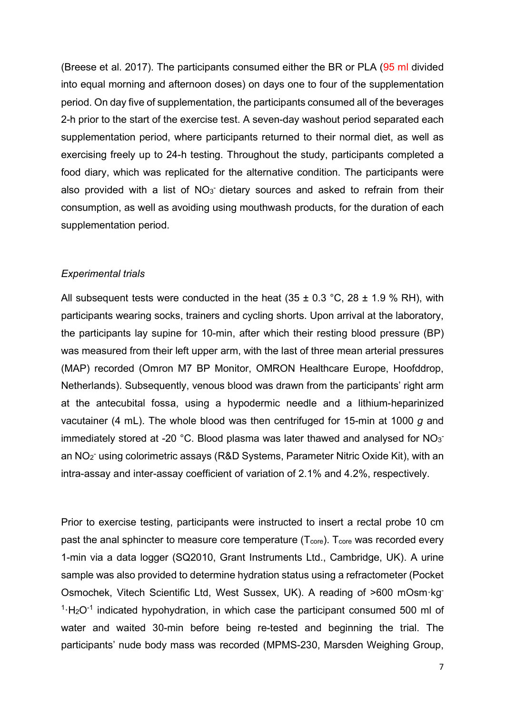(Breese et al. 2017). The participants consumed either the BR or PLA (95 ml divided into equal morning and afternoon doses) on days one to four of the supplementation period. On day five of supplementation, the participants consumed all of the beverages 2-h prior to the start of the exercise test. A seven-day washout period separated each supplementation period, where participants returned to their normal diet, as well as exercising freely up to 24-h testing. Throughout the study, participants completed a food diary, which was replicated for the alternative condition. The participants were also provided with a list of  $NO<sub>3</sub>$  dietary sources and asked to refrain from their consumption, as well as avoiding using mouthwash products, for the duration of each supplementation period.

## *Experimental trials*

All subsequent tests were conducted in the heat  $(35 \pm 0.3 \degree C, 28 \pm 1.9 \degree \degree R)$ , with participants wearing socks, trainers and cycling shorts. Upon arrival at the laboratory, the participants lay supine for 10-min, after which their resting blood pressure (BP) was measured from their left upper arm, with the last of three mean arterial pressures (MAP) recorded (Omron M7 BP Monitor, OMRON Healthcare Europe, Hoofddrop, Netherlands). Subsequently, venous blood was drawn from the participants' right arm at the antecubital fossa, using a hypodermic needle and a lithium-heparinized vacutainer (4 mL). The whole blood was then centrifuged for 15-min at 1000 *g* and immediately stored at -20 °C. Blood plasma was later thawed and analysed for  $NO_3$ an NO2 - using colorimetric assays (R&D Systems, Parameter Nitric Oxide Kit), with an intra-assay and inter-assay coefficient of variation of 2.1% and 4.2%, respectively.

Prior to exercise testing, participants were instructed to insert a rectal probe 10 cm past the anal sphincter to measure core temperature  $(T_{\text{core}})$ .  $T_{\text{core}}$  was recorded every 1-min via a data logger (SQ2010, Grant Instruments Ltd., Cambridge, UK). A urine sample was also provided to determine hydration status using a refractometer (Pocket Osmochek, Vitech Scientific Ltd, West Sussex, UK). A reading of >600 mOsm·kg- $1 \cdot H_2O^{-1}$  indicated hypohydration, in which case the participant consumed 500 ml of water and waited 30-min before being re-tested and beginning the trial. The participants' nude body mass was recorded (MPMS-230, Marsden Weighing Group,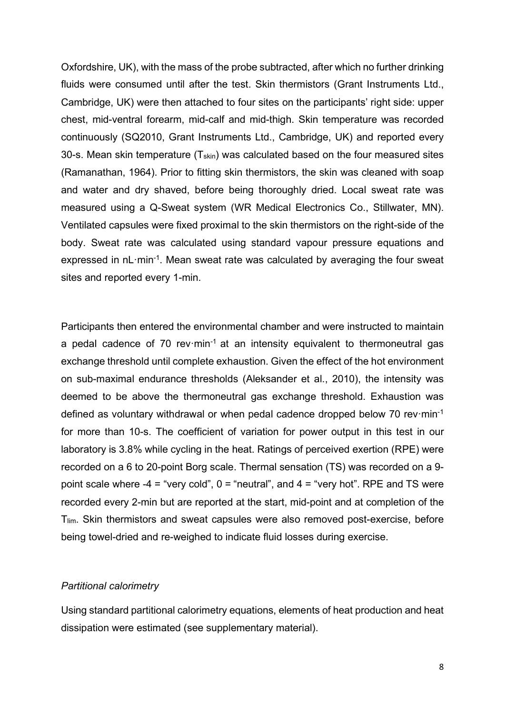Oxfordshire, UK), with the mass of the probe subtracted, after which no further drinking fluids were consumed until after the test. Skin thermistors (Grant Instruments Ltd., Cambridge, UK) were then attached to four sites on the participants' right side: upper chest, mid-ventral forearm, mid-calf and mid-thigh. Skin temperature was recorded continuously (SQ2010, Grant Instruments Ltd., Cambridge, UK) and reported every 30-s. Mean skin temperature  $(T_{skin})$  was calculated based on the four measured sites (Ramanathan, 1964). Prior to fitting skin thermistors, the skin was cleaned with soap and water and dry shaved, before being thoroughly dried. Local sweat rate was measured using a Q-Sweat system (WR Medical Electronics Co., Stillwater, MN). Ventilated capsules were fixed proximal to the skin thermistors on the right-side of the body. Sweat rate was calculated using standard vapour pressure equations and expressed in nL·min<sup>-1</sup>. Mean sweat rate was calculated by averaging the four sweat sites and reported every 1-min.

Participants then entered the environmental chamber and were instructed to maintain a pedal cadence of 70 rev $\cdot$ min<sup>-1</sup> at an intensity equivalent to thermoneutral gas exchange threshold until complete exhaustion. Given the effect of the hot environment on sub-maximal endurance thresholds (Aleksander et al., 2010), the intensity was deemed to be above the thermoneutral gas exchange threshold. Exhaustion was defined as voluntary withdrawal or when pedal cadence dropped below 70 rev·min-1 for more than 10-s. The coefficient of variation for power output in this test in our laboratory is 3.8% while cycling in the heat. Ratings of perceived exertion (RPE) were recorded on a 6 to 20-point Borg scale. Thermal sensation (TS) was recorded on a 9 point scale where -4 = "very cold",  $0 =$  "neutral", and  $4 =$  "very hot". RPE and TS were recorded every 2-min but are reported at the start, mid-point and at completion of the T<sub>lim</sub>. Skin thermistors and sweat capsules were also removed post-exercise, before being towel-dried and re-weighed to indicate fluid losses during exercise.

### *Partitional calorimetry*

Using standard partitional calorimetry equations, elements of heat production and heat dissipation were estimated (see supplementary material).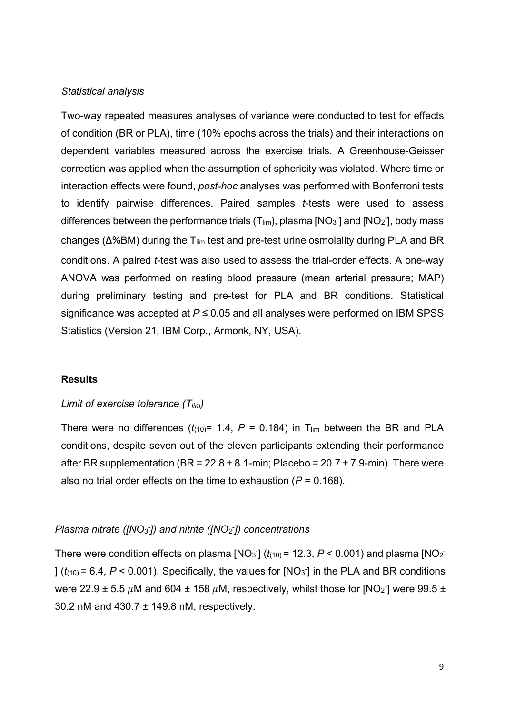#### *Statistical analysis*

Two-way repeated measures analyses of variance were conducted to test for effects of condition (BR or PLA), time (10% epochs across the trials) and their interactions on dependent variables measured across the exercise trials. A Greenhouse-Geisser correction was applied when the assumption of sphericity was violated. Where time or interaction effects were found, *post-hoc* analyses was performed with Bonferroni tests to identify pairwise differences. Paired samples *t*-tests were used to assess differences between the performance trials  $(T_{\text{lim}})$ , plasma [NO<sub>3</sub><sup>-</sup>] and [NO<sub>2</sub><sup>-</sup>], body mass changes (Δ%BM) during the T<sub>lim</sub> test and pre-test urine osmolality during PLA and BR conditions. A paired *t*-test was also used to assess the trial-order effects. A one-way ANOVA was performed on resting blood pressure (mean arterial pressure; MAP) during preliminary testing and pre-test for PLA and BR conditions. Statistical significance was accepted at *P* ≤ 0.05 and all analyses were performed on IBM SPSS Statistics (Version 21, IBM Corp., Armonk, NY, USA).

#### **Results**

## *Limit of exercise tolerance (T<sub>lim</sub>)*

There were no differences  $(t_{(10)}= 1.4, P = 0.184)$  in T<sub>lim</sub> between the BR and PLA conditions, despite seven out of the eleven participants extending their performance after BR supplementation (BR =  $22.8 \pm 8.1$ -min; Placebo =  $20.7 \pm 7.9$ -min). There were also no trial order effects on the time to exhaustion (*P* = 0.168).

### *Plasma nitrate ([NO<sub>3</sub><sup>-</sup>]) and nitrite ([NO<sub>2</sub><sup>-</sup>]) concentrations*

There were condition effects on plasma  $[NO_3]$  ( $t_{(10)}$  = 12.3,  $P < 0.001$ ) and plasma  $[NO_2]$ ]  $(t<sub>(10)</sub> = 6.4, P < 0.001)$ . Specifically, the values for [NO<sub>3</sub><sup>-</sup>] in the PLA and BR conditions were 22.9  $\pm$  5.5  $\mu$ M and 604  $\pm$  158  $\mu$ M, respectively, whilst those for [NO $_2$ ] were 99.5  $\pm$ 30.2 nM and 430.7 ± 149.8 nM, respectively.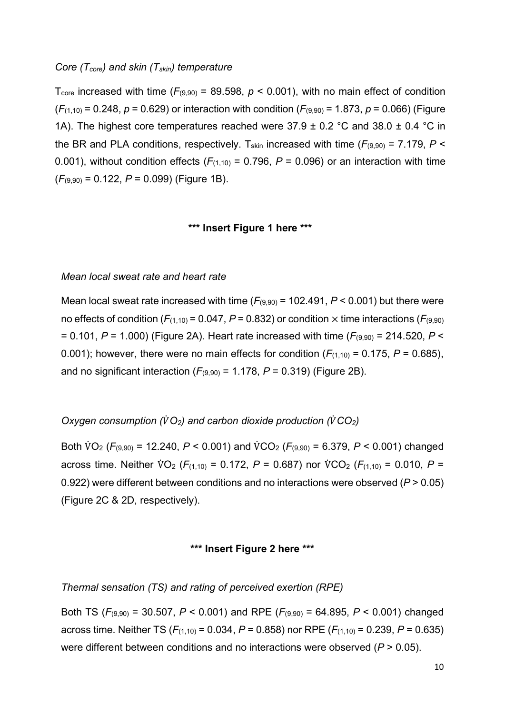#### *Core (Tcore) and skin (Tskin) temperature*

T<sub>core</sub> increased with time ( $F_{(9,90)}$  = 89.598,  $p < 0.001$ ), with no main effect of condition  $(F_{(1,10)} = 0.248, p = 0.629)$  or interaction with condition  $(F_{(9,90)} = 1.873, p = 0.066)$  (Figure 1A). The highest core temperatures reached were  $37.9 \pm 0.2$  °C and  $38.0 \pm 0.4$  °C in the BR and PLA conditions, respectively. T<sub>skin</sub> increased with time ( $F_{(9,90)} = 7.179$ ,  $P \le$ 0.001), without condition effects  $(F_{(1,10)} = 0.796, P = 0.096)$  or an interaction with time (*F*(9,90) = 0.122, *P* = 0.099) (Figure 1B).

### **\*\*\* Insert Figure 1 here \*\*\***

#### *Mean local sweat rate and heart rate*

Mean local sweat rate increased with time  $(F_{(9,90)} = 102.491, P < 0.001)$  but there were no effects of condition ( $F_{(1,10)}$  = 0.047,  $P$  = 0.832) or condition  $\times$  time interactions ( $F_{(9,90)}$ ) = 0.101, *P* = 1.000) (Figure 2A). Heart rate increased with time (*F*(9,90) = 214.520, *P* < 0.001); however, there were no main effects for condition  $(F_{(1,10)} = 0.175, P = 0.685)$ , and no significant interaction  $(F_{(9,90)} = 1.178, P = 0.319)$  (Figure 2B).

# *Oxygen consumption (* $\hat{V}O_2$ *) and carbon dioxide production (* $\hat{V}CO_2$ *)*

Both V̇ O2 (*F*(9,90) = 12.240, *P* < 0.001) and V̇ CO2 (*F*(9,90) = 6.379, *P* < 0.001) changed across time. Neither V̇ O2 (*F*(1,10) = 0.172, *P* = 0.687) nor V̇ CO2 (*F*(1,10) = 0.010, *P* = 0.922) were different between conditions and no interactions were observed (*P* > 0.05) (Figure 2C & 2D, respectively).

### **\*\*\* Insert Figure 2 here \*\*\***

#### *Thermal sensation (TS) and rating of perceived exertion (RPE)*

Both TS (*F*(9,90) = 30.507, *P* < 0.001) and RPE (*F*(9,90) = 64.895, *P* < 0.001) changed across time. Neither TS (*F*(1,10) = 0.034, *P* = 0.858) nor RPE (*F*(1,10) = 0.239, *P* = 0.635) were different between conditions and no interactions were observed (*P* > 0.05).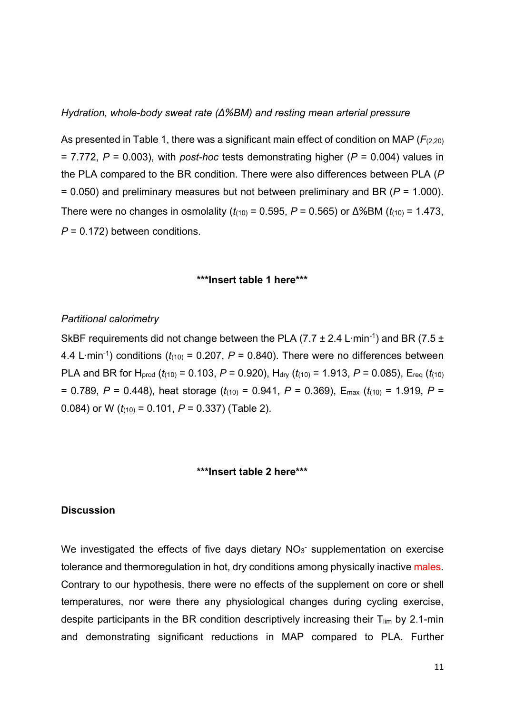*Hydration, whole-body sweat rate (∆%BM) and resting mean arterial pressure*

As presented in Table 1, there was a significant main effect of condition on MAP ( $F_{(2,20)}$ ) = 7.772, *P* = 0.003), with *post-hoc* tests demonstrating higher (*P* = 0.004) values in the PLA compared to the BR condition. There were also differences between PLA (*P* = 0.050) and preliminary measures but not between preliminary and BR (*P* = 1.000). There were no changes in osmolality ( $t_{(10)}$  = 0.595, *P* = 0.565) or ∆%BM ( $t_{(10)}$  = 1.473, *P* = 0.172) between conditions.

### **\*\*\*Insert table 1 here\*\*\***

#### *Partitional calorimetry*

SkBF requirements did not change between the PLA (7.7 ± 2.4 L⋅min<sup>-1</sup>) and BR (7.5 ± 4.4 L∙min-1) conditions (*t*(10) = 0.207, *P* = 0.840). There were no differences between PLA and BR for H<sub>prod</sub>  $(t_{(10)} = 0.103, P = 0.920)$ , H<sub>dry</sub>  $(t_{(10)} = 1.913, P = 0.085)$ , E<sub>req</sub>  $(t_{(10)}$ = 0.789, *P* = 0.448), heat storage (*t*(10) = 0.941, *P* = 0.369), Emax (*t*(10) = 1.919, *P* = 0.084) or W  $(t_{(10)} = 0.101, P = 0.337)$  (Table 2).

### **\*\*\*Insert table 2 here\*\*\***

## **Discussion**

We investigated the effects of five days dietary  $NO<sub>3</sub>$  supplementation on exercise tolerance and thermoregulation in hot, dry conditions among physically inactive males. Contrary to our hypothesis, there were no effects of the supplement on core or shell temperatures, nor were there any physiological changes during cycling exercise, despite participants in the BR condition descriptively increasing their  $T_{lim}$  by 2.1-min and demonstrating significant reductions in MAP compared to PLA. Further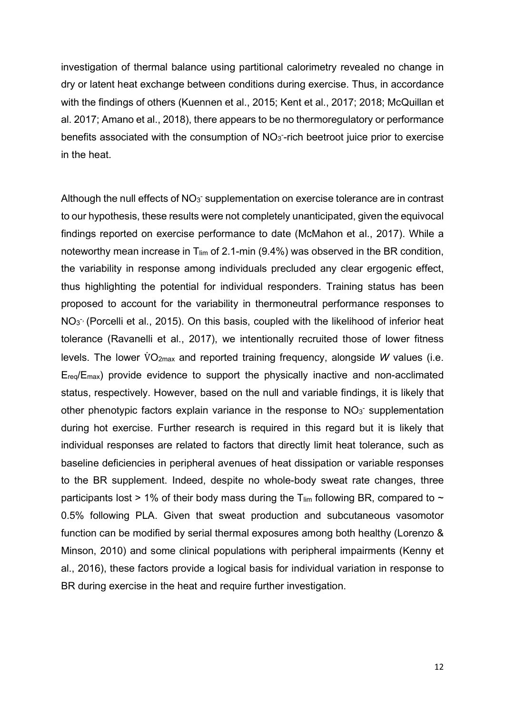investigation of thermal balance using partitional calorimetry revealed no change in dry or latent heat exchange between conditions during exercise. Thus, in accordance with the findings of others (Kuennen et al., 2015; Kent et al., 2017; 2018; McQuillan et al. 2017; Amano et al., 2018), there appears to be no thermoregulatory or performance benefits associated with the consumption of  $NO<sub>3</sub>$ -rich beetroot juice prior to exercise in the heat.

Although the null effects of  $NO<sub>3</sub>$  supplementation on exercise tolerance are in contrast to our hypothesis, these results were not completely unanticipated, given the equivocal findings reported on exercise performance to date (McMahon et al., 2017). While a noteworthy mean increase in  $T_{lim}$  of 2.1-min (9.4%) was observed in the BR condition, the variability in response among individuals precluded any clear ergogenic effect, thus highlighting the potential for individual responders. Training status has been proposed to account for the variability in thermoneutral performance responses to  $NO<sub>3</sub>$  (Porcelli et al., 2015). On this basis, coupled with the likelihood of inferior heat tolerance (Ravanelli et al., 2017), we intentionally recruited those of lower fitness levels. The lower V̇ O2max and reported training frequency, alongside *W* values (i.e. Ereq/Emax) provide evidence to support the physically inactive and non-acclimated status, respectively. However, based on the null and variable findings, it is likely that other phenotypic factors explain variance in the response to  $NO<sub>3</sub>$  supplementation during hot exercise. Further research is required in this regard but it is likely that individual responses are related to factors that directly limit heat tolerance, such as baseline deficiencies in peripheral avenues of heat dissipation or variable responses to the BR supplement. Indeed, despite no whole-body sweat rate changes, three participants lost > 1% of their body mass during the  $T_{lim}$  following BR, compared to  $\sim$ 0.5% following PLA. Given that sweat production and subcutaneous vasomotor function can be modified by serial thermal exposures among both healthy (Lorenzo & Minson, 2010) and some clinical populations with peripheral impairments (Kenny et al., 2016), these factors provide a logical basis for individual variation in response to BR during exercise in the heat and require further investigation.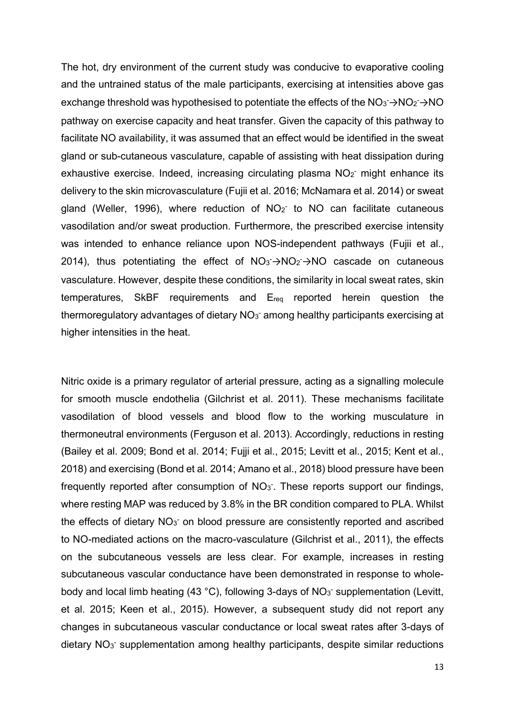The hot, dry environment of the current study was conducive to evaporative cooling and the untrained status of the male participants, exercising at intensities above gas exchange threshold was hypothesised to potentiate the effects of the  $NO_3$  $\rightarrow$ NO<sub>2</sub> $\rightarrow$ NO pathway on exercise capacity and heat transfer. Given the capacity of this pathway to facilitate NO availability, it was assumed that an effect would be identified in the sweat gland or sub-cutaneous vasculature, capable of assisting with heat dissipation during exhaustive exercise. Indeed, increasing circulating plasma  $NO<sub>2</sub>$  might enhance its delivery to the skin microvasculature (Fujii et al. 2016; McNamara et al. 2014) or sweat gland (Weller, 1996), where reduction of  $NO<sub>2</sub>$  to NO can facilitate cutaneous vasodilation and/or sweat production. Furthermore, the prescribed exercise intensity was intended to enhance reliance upon NOS-independent pathways (Fujii et al., 2014), thus potentiating the effect of  $NO_3 \rightarrow NO_2 \rightarrow NO$  cascade on cutaneous vasculature. However, despite these conditions, the similarity in local sweat rates, skin temperatures, SkBF requirements and Ereq reported herein question the thermoregulatory advantages of dietary  $NO<sub>3</sub>$  among healthy participants exercising at higher intensities in the heat.

Nitric oxide is a primary regulator of arterial pressure, acting as a signalling molecule for smooth muscle endothelia (Gilchrist et al. 2011). These mechanisms facilitate vasodilation of blood vessels and blood flow to the working musculature in thermoneutral environments (Ferguson et al. 2013). Accordingly, reductions in resting (Bailey et al. 2009; Bond et al. 2014; Fujji et al., 2015; Levitt et al., 2015; Kent et al., 2018) and exercising (Bond et al. 2014; Amano et al., 2018) blood pressure have been frequently reported after consumption of  $NO<sub>3</sub>$ . These reports support our findings, where resting MAP was reduced by 3.8% in the BR condition compared to PLA. Whilst the effects of dietary  $NO<sub>3</sub>$  on blood pressure are consistently reported and ascribed to NO-mediated actions on the macro-vasculature (Gilchrist et al., 2011), the effects on the subcutaneous vessels are less clear. For example, increases in resting subcutaneous vascular conductance have been demonstrated in response to wholebody and local limb heating (43 °C), following 3-days of  $NO<sub>3</sub>$  supplementation (Levitt, et al. 2015; Keen et al., 2015). However, a subsequent study did not report any changes in subcutaneous vascular conductance or local sweat rates after 3-days of dietary NO<sub>3</sub> supplementation among healthy participants, despite similar reductions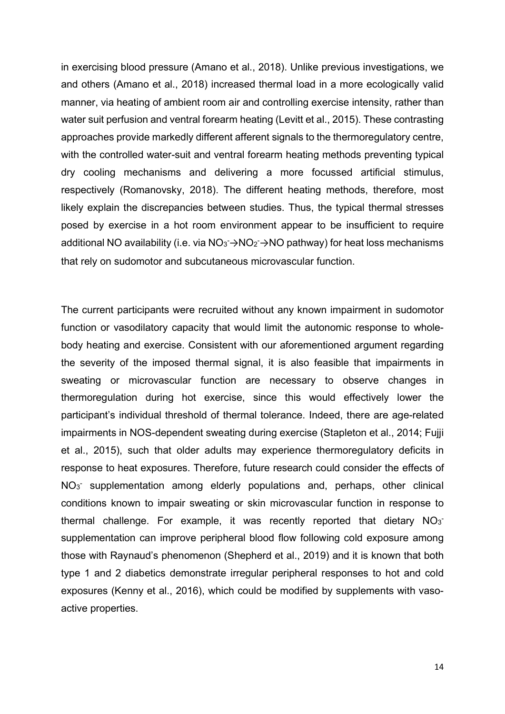in exercising blood pressure (Amano et al., 2018). Unlike previous investigations, we and others (Amano et al., 2018) increased thermal load in a more ecologically valid manner, via heating of ambient room air and controlling exercise intensity, rather than water suit perfusion and ventral forearm heating (Levitt et al., 2015). These contrasting approaches provide markedly different afferent signals to the thermoregulatory centre, with the controlled water-suit and ventral forearm heating methods preventing typical dry cooling mechanisms and delivering a more focussed artificial stimulus, respectively (Romanovsky, 2018). The different heating methods, therefore, most likely explain the discrepancies between studies. Thus, the typical thermal stresses posed by exercise in a hot room environment appear to be insufficient to require additional NO availability (i.e. via  $NO_3 \rightarrow NO_2 \rightarrow NO$  pathway) for heat loss mechanisms that rely on sudomotor and subcutaneous microvascular function.

The current participants were recruited without any known impairment in sudomotor function or vasodilatory capacity that would limit the autonomic response to wholebody heating and exercise. Consistent with our aforementioned argument regarding the severity of the imposed thermal signal, it is also feasible that impairments in sweating or microvascular function are necessary to observe changes in thermoregulation during hot exercise, since this would effectively lower the participant's individual threshold of thermal tolerance. Indeed, there are age-related impairments in NOS-dependent sweating during exercise (Stapleton et al., 2014; Fujji et al., 2015), such that older adults may experience thermoregulatory deficits in response to heat exposures. Therefore, future research could consider the effects of NO<sub>3</sub> supplementation among elderly populations and, perhaps, other clinical conditions known to impair sweating or skin microvascular function in response to thermal challenge. For example, it was recently reported that dietary  $NO_3$ supplementation can improve peripheral blood flow following cold exposure among those with Raynaud's phenomenon (Shepherd et al., 2019) and it is known that both type 1 and 2 diabetics demonstrate irregular peripheral responses to hot and cold exposures (Kenny et al., 2016), which could be modified by supplements with vasoactive properties.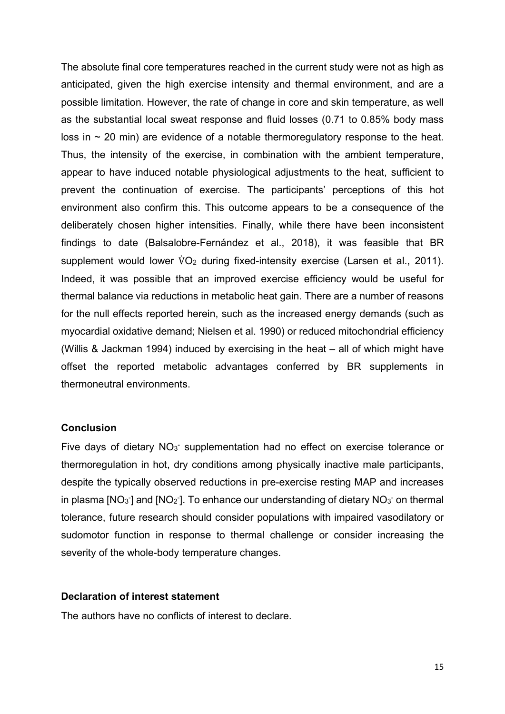The absolute final core temperatures reached in the current study were not as high as anticipated, given the high exercise intensity and thermal environment, and are a possible limitation. However, the rate of change in core and skin temperature, as well as the substantial local sweat response and fluid losses (0.71 to 0.85% body mass loss in  $\sim$  20 min) are evidence of a notable thermoregulatory response to the heat. Thus, the intensity of the exercise, in combination with the ambient temperature, appear to have induced notable physiological adjustments to the heat, sufficient to prevent the continuation of exercise. The participants' perceptions of this hot environment also confirm this. This outcome appears to be a consequence of the deliberately chosen higher intensities. Finally, while there have been inconsistent findings to date (Balsalobre-Fernández et al., 2018), it was feasible that BR supplement would lower V̇ O2 during fixed-intensity exercise (Larsen et al., 2011). Indeed, it was possible that an improved exercise efficiency would be useful for thermal balance via reductions in metabolic heat gain. There are a number of reasons for the null effects reported herein, such as the increased energy demands (such as myocardial oxidative demand; Nielsen et al. 1990) or reduced mitochondrial efficiency (Willis & Jackman 1994) induced by exercising in the heat – all of which might have offset the reported metabolic advantages conferred by BR supplements in thermoneutral environments.

## **Conclusion**

Five days of dietary  $NO<sub>3</sub>$  supplementation had no effect on exercise tolerance or thermoregulation in hot, dry conditions among physically inactive male participants, despite the typically observed reductions in pre-exercise resting MAP and increases in plasma [NO<sub>3</sub><sup>-</sup>] and [NO<sub>2</sub><sup>-</sup>]. To enhance our understanding of dietary NO<sub>3</sub><sup>-</sup> on thermal tolerance, future research should consider populations with impaired vasodilatory or sudomotor function in response to thermal challenge or consider increasing the severity of the whole-body temperature changes.

## **Declaration of interest statement**

The authors have no conflicts of interest to declare.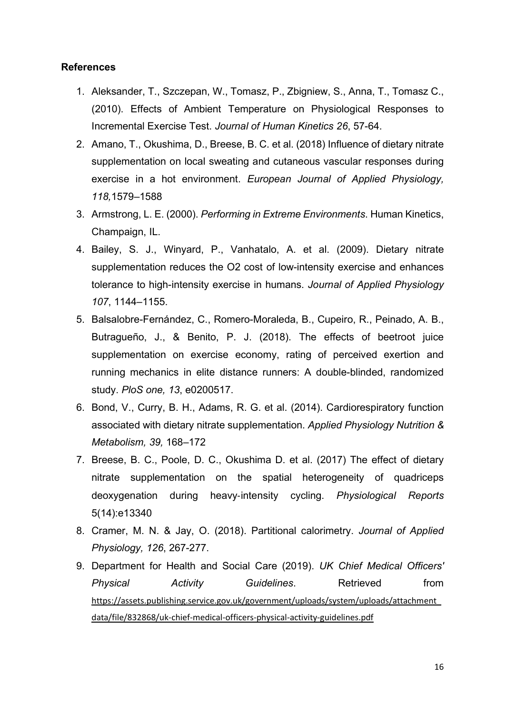# **References**

- 1. Aleksander, T., Szczepan, W., Tomasz, P., Zbigniew, S., Anna, T., Tomasz C., (2010). Effects of Ambient Temperature on Physiological Responses to Incremental Exercise Test. *Journal of Human Kinetics 26*, 57-64.
- 2. Amano, T., Okushima, D., Breese, B. C. et al. (2018) Influence of dietary nitrate supplementation on local sweating and cutaneous vascular responses during exercise in a hot environment. *European Journal of Applied Physiology, 118,*1579–1588
- 3. Armstrong, L. E. (2000). *Performing in Extreme Environments*. Human Kinetics, Champaign, IL.
- 4. Bailey, S. J., Winyard, P., Vanhatalo, A. et al. (2009). Dietary nitrate supplementation reduces the O2 cost of low-intensity exercise and enhances tolerance to high-intensity exercise in humans. *Journal of Applied Physiology 107*, 1144–1155.
- 5. Balsalobre-Fernández, C., Romero-Moraleda, B., Cupeiro, R., Peinado, A. B., Butragueño, J., & Benito, P. J. (2018). The effects of beetroot juice supplementation on exercise economy, rating of perceived exertion and running mechanics in elite distance runners: A double-blinded, randomized study. *PloS one, 13*, e0200517.
- 6. Bond, V., Curry, B. H., Adams, R. G. et al. (2014). Cardiorespiratory function associated with dietary nitrate supplementation. *Applied Physiology Nutrition & Metabolism, 39,* 168–172
- 7. Breese, B. C., Poole, D. C., Okushima D. et al. (2017) The effect of dietary nitrate supplementation on the spatial heterogeneity of quadriceps deoxygenation during heavy‐intensity cycling. *Physiological Reports* 5(14):e13340
- 8. Cramer, M. N. & Jay, O. (2018). Partitional calorimetry. *Journal of Applied Physiology, 126*, 267-277.
- 9. Department for Health and Social Care (2019). *UK Chief Medical Officers' Physical Activity Guidelines*. Retrieved from [https://assets.publishing.service.gov.uk/government/uploads/system/uploads/attachment\\_](https://assets.publishing.service.gov.uk/government/uploads/system/uploads/attachment_data/file/832868/uk-chief-medical-officers-physical-activity-guidelines.pdf) [data/file/832868/uk-chief-medical-officers-physical-activity-guidelines.pdf](https://assets.publishing.service.gov.uk/government/uploads/system/uploads/attachment_data/file/832868/uk-chief-medical-officers-physical-activity-guidelines.pdf)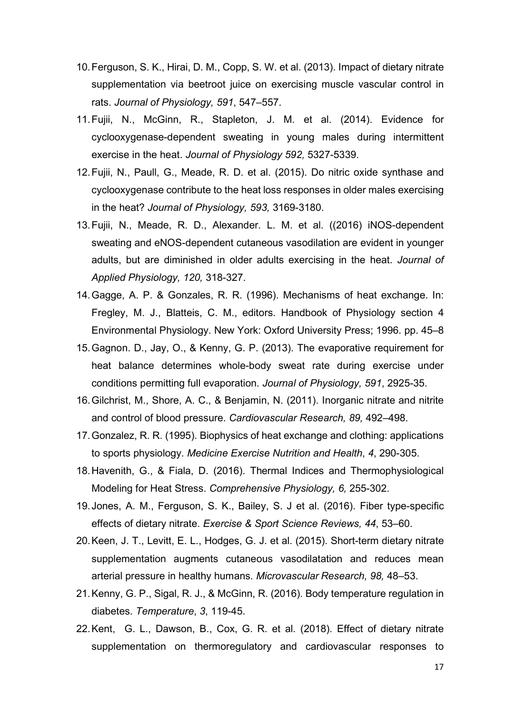- 10.Ferguson, S. K., Hirai, D. M., Copp, S. W. et al. (2013). Impact of dietary nitrate supplementation via beetroot juice on exercising muscle vascular control in rats. *Journal of Physiology, 591*, 547–557.
- 11.Fujii, N., McGinn, R., Stapleton, J. M. et al. (2014). Evidence for cyclooxygenase-dependent sweating in young males during intermittent exercise in the heat. *Journal of Physiology 592,* 5327-5339.
- 12.Fujii, N., Paull, G., Meade, R. D. et al. (2015). Do nitric oxide synthase and cyclooxygenase contribute to the heat loss responses in older males exercising in the heat? *Journal of Physiology, 593,* 3169-3180.
- 13.Fujii, N., Meade, R. D., Alexander. L. M. et al. ((2016) iNOS-dependent sweating and eNOS-dependent cutaneous vasodilation are evident in younger adults, but are diminished in older adults exercising in the heat. *Journal of Applied Physiology, 120,* 318-327.
- 14.Gagge, A. P. & Gonzales, R. R. (1996). Mechanisms of heat exchange. In: Fregley, M. J., Blatteis, C. M., editors. Handbook of Physiology section 4 Environmental Physiology. New York: Oxford University Press; 1996. pp. 45–8
- 15.Gagnon. D., Jay, O., & Kenny, G. P. (2013). The evaporative requirement for heat balance determines whole-body sweat rate during exercise under conditions permitting full evaporation. *Journal of Physiology, 591*, 2925-35.
- 16.Gilchrist, M., Shore, A. C., & Benjamin, N. (2011). Inorganic nitrate and nitrite and control of blood pressure. *Cardiovascular Research, 89,* 492–498.
- 17.Gonzalez, R. R. (1995). Biophysics of heat exchange and clothing: applications to sports physiology. *Medicine Exercise Nutrition and Health*, *4*, 290-305.
- 18.Havenith, G., & Fiala, D. (2016). Thermal Indices and Thermophysiological Modeling for Heat Stress. *Comprehensive Physiology, 6,* 255-302.
- 19.Jones, A. M., Ferguson, S. K., Bailey, S. J et al. (2016). Fiber type-specific effects of dietary nitrate. *Exercise & Sport Science Reviews, 44*, 53–60.
- 20.Keen, J. T., Levitt, E. L., Hodges, G. J. et al. (2015). Short-term dietary nitrate supplementation augments cutaneous vasodilatation and reduces mean arterial pressure in healthy humans. *Microvascular Research, 98,* 48–53.
- 21.Kenny, G. P., Sigal, R. J., & McGinn, R. (2016). Body temperature regulation in diabetes. *Temperature*, *3*, 119-45.
- 22.Kent, G. L., Dawson, B., Cox, G. R. et al. (2018). Effect of dietary nitrate supplementation on thermoregulatory and cardiovascular responses to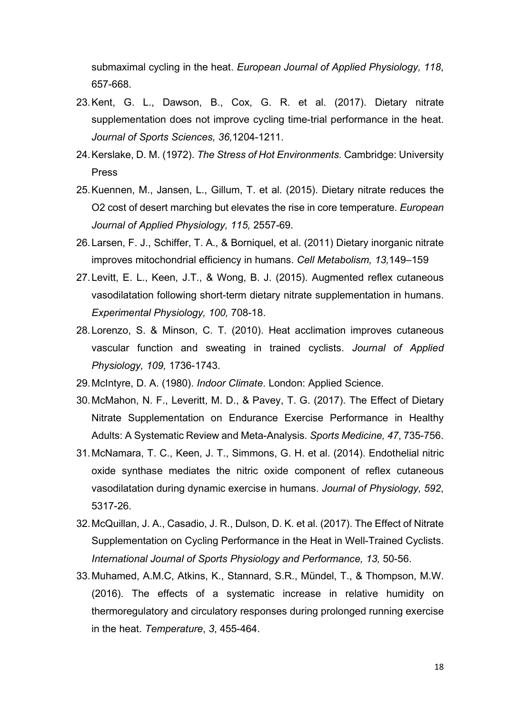submaximal cycling in the heat. *European Journal of Applied Physiology, 118*, 657-668.

- 23.Kent, G. L., Dawson, B., Cox, G. R. et al. (2017). Dietary nitrate supplementation does not improve cycling time-trial performance in the heat. *Journal of Sports Sciences, 36,*1204-1211.
- 24.Kerslake, D. M. (1972). *The Stress of Hot Environments.* Cambridge: University Press
- 25.Kuennen, M., Jansen, L., Gillum, T. et al. (2015). Dietary nitrate reduces the O2 cost of desert marching but elevates the rise in core temperature. *European Journal of Applied Physiology, 115,* 2557-69.
- 26.Larsen, F. J., Schiffer, T. A., & Borniquel, et al. (2011) Dietary inorganic nitrate improves mitochondrial efficiency in humans. *Cell Metabolism, 13,*149–159
- 27.Levitt, E. L., Keen, J.T., & Wong, B. J. (2015). Augmented reflex cutaneous vasodilatation following short-term dietary nitrate supplementation in humans. *Experimental Physiology, 100,* 708-18.
- 28.Lorenzo, S. & Minson, C. T. (2010). Heat acclimation improves cutaneous vascular function and sweating in trained cyclists. *Journal of Applied Physiology, 109,* 1736-1743.
- 29.McIntyre, D. A. (1980). *Indoor Climate*. London: Applied Science.
- 30.McMahon, N. F., Leveritt, M. D., & Pavey, T. G. (2017). The Effect of Dietary Nitrate Supplementation on Endurance Exercise Performance in Healthy Adults: A Systematic Review and Meta-Analysis. *Sports Medicine, 47*, 735-756.
- 31.McNamara, T. C., Keen, J. T., Simmons, G. H. et al. (2014). Endothelial nitric oxide synthase mediates the nitric oxide component of reflex cutaneous vasodilatation during dynamic exercise in humans. *Journal of Physiology, 592*, 5317-26.
- 32.McQuillan, J. A., Casadio, J. R., Dulson, D. K. et al. (2017). The Effect of Nitrate Supplementation on Cycling Performance in the Heat in Well-Trained Cyclists. *International Journal of Sports Physiology and Performance, 13,* 50-56.
- 33.Muhamed, A.M.C, Atkins, K., Stannard, S.R., Mündel, T., & Thompson, M.W. (2016). The effects of a systematic increase in relative humidity on thermoregulatory and circulatory responses during prolonged running exercise in the heat. *Temperature*, *3*, 455-464.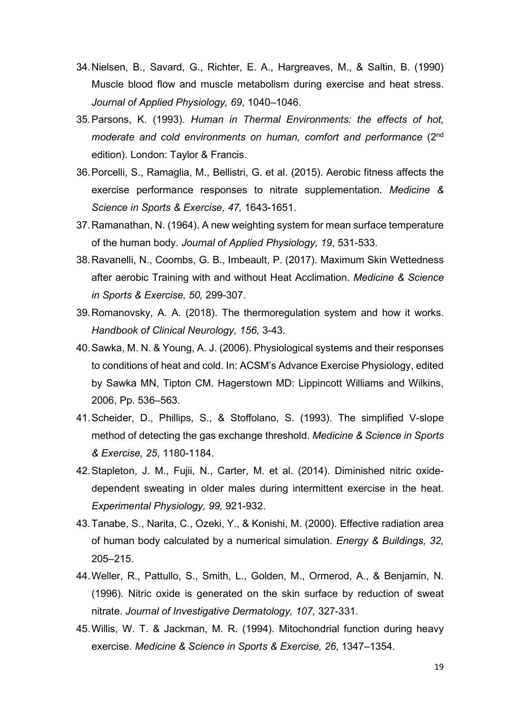- 34.Nielsen, B., Savard, G., Richter, E. A., Hargreaves, M., & Saltin, B. (1990) Muscle blood flow and muscle metabolism during exercise and heat stress. *Journal of Applied Physiology, 69*, 1040–1046.
- 35.Parsons, K. (1993). *Human in Thermal Environments: the effects of hot, moderate and cold environments on human, comfort and performance* (2nd edition). London: Taylor & Francis.
- 36.Porcelli, S., Ramaglia, M., Bellistri, G. et al. (2015). Aerobic fitness affects the exercise performance responses to nitrate supplementation. *Medicine & Science in Sports & Exercise, 47,* 1643-1651.
- 37.Ramanathan, N. (1964). A new weighting system for mean surface temperature of the human body. *Journal of Applied Physiology, 19*, 531-533.
- 38.Ravanelli, N., Coombs, G. B., Imbeault, P. (2017). Maximum Skin Wettedness after aerobic Training with and without Heat Acclimation. *Medicine & Science in Sports & Exercise, 50,* 299-307.
- 39.Romanovsky, A. A. (2018). The thermoregulation system and how it works. *Handbook of Clinical Neurology, 156,* 3-43.
- 40.Sawka, M. N. & Young, A. J. (2006). Physiological systems and their responses to conditions of heat and cold. In: ACSM's Advance Exercise Physiology, edited by Sawka MN, Tipton CM. Hagerstown MD: Lippincott Williams and Wilkins, 2006, Pp. 536–563.
- 41.Scheider, D., Phillips, S., & Stoffolano, S. (1993). The simplified V-slope method of detecting the gas exchange threshold. *Medicine & Science in Sports & Exercise, 25*, 1180-1184.
- 42.Stapleton, J. M., Fujii, N., Carter, M. et al. (2014). Diminished nitric oxidedependent sweating in older males during intermittent exercise in the heat. *Experimental Physiology, 99,* 921-932.
- 43.Tanabe, S., Narita, C., Ozeki, Y., & Konishi, M. (2000). Effective radiation area of human body calculated by a numerical simulation. *Energy & Buildings, 32,* 205–215.
- 44.Weller, R., Pattullo, S., Smith, L., Golden, M., Ormerod, A., & Benjamin, N. (1996). Nitric oxide is generated on the skin surface by reduction of sweat nitrate. *Journal of Investigative Dermatology, 107,* 327-331.
- 45.Willis, W. T. & Jackman, M. R. (1994). Mitochondrial function during heavy exercise. *Medicine & Science in Sports & Exercise, 26*, 1347–1354.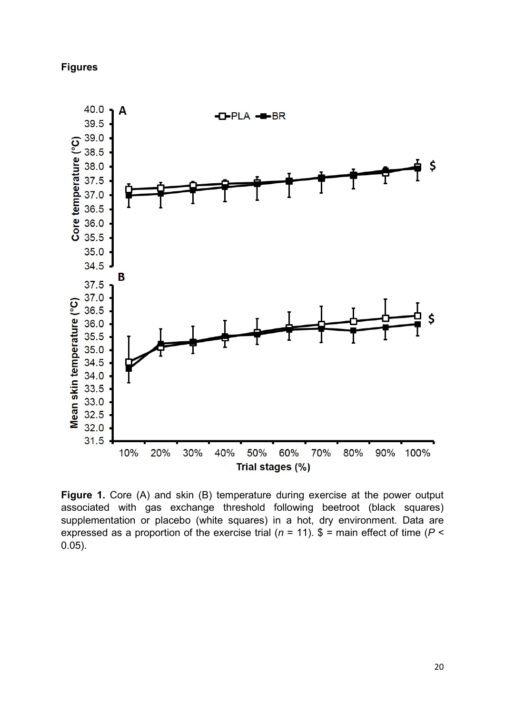# **Figures**



**Figure 1.** Core (A) and skin (B) temperature during exercise at the power output associated with gas exchange threshold following beetroot (black squares) supplementation or placebo (white squares) in a hot, dry environment. Data are expressed as a proportion of the exercise trial ( $n = 11$ ).  $\frac{1}{2}$  = main effect of time ( $P <$ 0.05).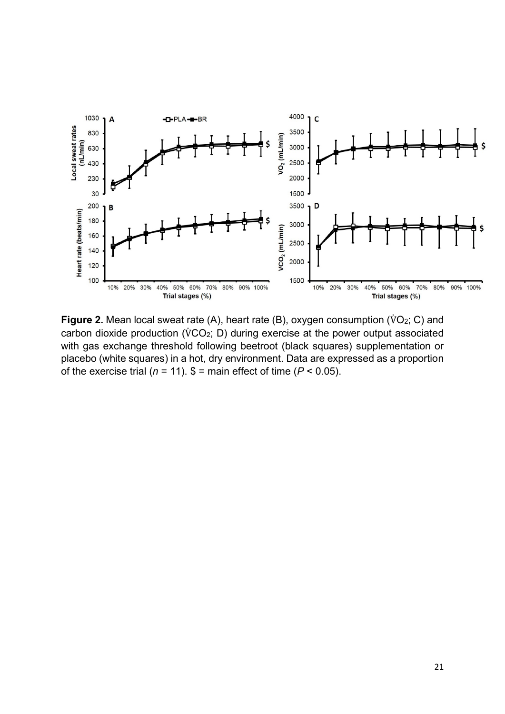

**Figure 2.** Mean local sweat rate (A), heart rate (B), oxygen consumption (VO<sub>2</sub>; C) and carbon dioxide production (V̇ CO2; D) during exercise at the power output associated with gas exchange threshold following beetroot (black squares) supplementation or placebo (white squares) in a hot, dry environment. Data are expressed as a proportion of the exercise trial ( $n = 11$ ).  $\$ =$  main effect of time ( $P < 0.05$ ).